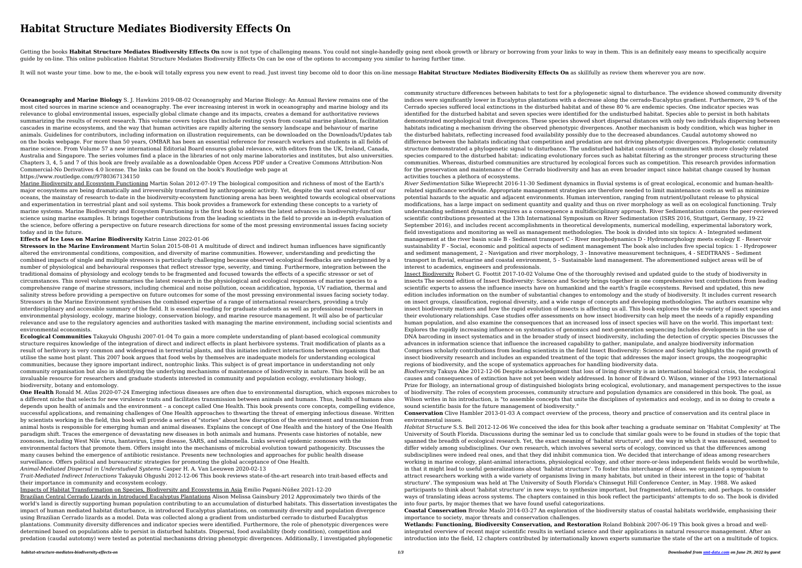# **Habitat Structure Mediates Biodiversity Effects On**

Getting the books Habitat Structure Mediates Biodiversity Effects On now is not type of challenging means. You could not single-handedly going next ebook growth or library or borrowing from your links to way in them. This guide by on-line. This online publication Habitat Structure Mediates Biodiversity Effects On can be one of the options to accompany you similar to having further time.

It will not waste your time, bow to me, the e-book will totally express you new event to read. Just invest tiny become old to door this on-line message Habitat Structure Mediates Biodiversity Effects On as skillfully as re

**Oceanography and Marine Biology** S. J. Hawkins 2019-08-02 Oceanography and Marine Biology: An Annual Review remains one of the most cited sources in marine science and oceanography. The ever increasing interest in work in oceanography and marine biology and its relevance to global environmental issues, especially global climate change and its impacts, creates a demand for authoritative reviews summarizing the results of recent research. This volume covers topics that include resting cysts from coastal marine plankton, facilitation cascades in marine ecosystems, and the way that human activities are rapidly altering the sensory landscape and behaviour of marine animals. Guidelines for contributors, including information on illustration requirements, can be downloaded on the Downloads/Updates tab on the books webpage. For more than 50 years, OMBAR has been an essential reference for research workers and students in all fields of marine science. From Volume 57 a new international Editorial Board ensures global relevance, with editors from the UK, Ireland, Canada, Australia and Singapore. The series volumes find a place in the libraries of not only marine laboratories and institutes, but also universities. Chapters 3, 4, 5 and 7 of this book are freely available as a downloadable Open Access PDF under a Creative Commons Attribution-Non Commercial-No Derivatives 4.0 license. The links can be found on the book's Routledge web page at https://www.routledge.com//9780367134150

Marine Biodiversity and Ecosystem Functioning Martin Solan 2012-07-19 The biological composition and richness of most of the Earth's major ecosystems are being dramatically and irreversibly transformed by anthropogenic activity. Yet, despite the vast areal extent of our oceans, the mainstay of research to-date in the biodiversity-ecosystem functioning arena has been weighted towards ecological observations and experimentation in terrestrial plant and soil systems. This book provides a framework for extending these concepts to a variety of marine systems. Marine Biodiversity and Ecosystem Functioning is the first book to address the latest advances in biodiversity-function science using marine examples. It brings together contributions from the leading scientists in the field to provide an in-depth evaluation of the science, before offering a perspective on future research directions for some of the most pressing environmental issues facing society today and in the future.

## **Effects of Ice Loss on Marine Biodiversity** Katrin Linse 2022-01-06

**Stressors in the Marine Environment** Martin Solan 2015-08-01 A multitude of direct and indirect human influences have significantly altered the environmental conditions, composition, and diversity of marine communities. However, understanding and predicting the combined impacts of single and multiple stressors is particularly challenging because observed ecological feedbacks are underpinned by a number of physiological and behavioural responses that reflect stressor type, severity, and timing. Furthermore, integration between the traditional domains of physiology and ecology tends to be fragmented and focused towards the effects of a specific stressor or set of circumstances. This novel volume summarises the latest research in the physiological and ecological responses of marine species to a comprehensive range of marine stressors, including chemical and noise pollution, ocean acidification, hypoxia, UV radiation, thermal and salinity stress before providing a perspective on future outcomes for some of the most pressing environmental issues facing society today. Stressors in the Marine Environment synthesises the combined expertise of a range of international researchers, providing a truly interdisciplinary and accessible summary of the field. It is essential reading for graduate students as well as professional researchers in environmental physiology, ecology, marine biology, conservation biology, and marine resource management. It will also be of particular relevance and use to the regulatory agencies and authorities tasked with managing the marine environment, including social scientists and environmental economists.

**Ecological Communities** Takayuki Ohgushi 2007-01-04 To gain a more complete understanding of plant-based ecological community structure requires knowledge of the integration of direct and indirect effects in plant herbivore systems. Trait modification of plants as a result of herbivory is very common and widespread in terrestrial plants, and this initiates indirect interactions between organisms that utilise the same host plant. This 2007 book argues that food webs by themselves are inadequate models for understanding ecological communities, because they ignore important indirect, nontrophic links. This subject is of great importance in understanding not only community organisation but also in identifying the underlying mechanisms of maintenance of biodiversity in nature. This book will be an invaluable resource for researchers and graduate students interested in community and population ecology, evolutionary biology, biodiversity, botany and entomology.

**One Health** Ronald M. Atlas 2020-07-24 Emerging infectious diseases are often due to environmental disruption, which exposes microbes to a different niche that selects for new virulence traits and facilitates transmission between animals and humans. Thus, health of humans also depends upon health of animals and the environment – a concept called One Health. This book presents core concepts, compelling evidence, successful applications, and remaining challenges of One Health approaches to thwarting the threat of emerging infectious disease. Written by scientists working in the field, this book will provide a series of "stories" about how disruption of the environment and transmission from animal hosts is responsible for emerging human and animal diseases. Explains the concept of One Health and the history of the One Health paradigm shift. Traces the emergence of devastating new diseases in both animals and humans. Presents case histories of notable, new zoonoses, including West Nile virus, hantavirus, Lyme disease, SARS, and salmonella. Links several epidemic zoonoses with the environmental factors that promote them. Offers insight into the mechanisms of microbial evolution toward pathogenicity. Discusses the many causes behind the emergence of antibiotic resistance. Presents new technologies and approaches for public health disease surveillance. Offers political and bureaucratic strategies for promoting the global acceptance of One Health. *Animal-Mediated Dispersal in Understudied Systems* Casper H. A. Van Leeuwen 2020-02-13

*Trait-Mediated Indirect Interactions* Takayuki Ohgushi 2012-12-06 This book reviews state-of-the-art research into trait-based effects and their importance in community and ecosystem ecology.

Impacts of Habitat Transformation on Species, Biodiversity and Ecosystems in Asia Emilio Pagani-Núñez 2021-12-20

Brazilian Central Cerrado Lizards in Introduced Eucalyptus Plantations Alison Melissa Gainsbury 2012 Approximately two thirds of the world's land is directly supporting human population contributing to an accumulation of disturbed habitats. This dissertation investigates the impact of human mediated habitat disturbance, in introduced Eucalyptus plantations, on community diversity and population divergence using Brazilian Cerrado lizards as a model. Data was collected along a gradient from undisturbed cerrado to disturbed Eucalyptus plantations. Community diversity differences and indicator species were identified. Furthermore, the role of phenotypic divergences were determined based on populations able to persist in disturbed habitats. Dispersal, food availability (body condition), competition and predation (caudal autotomy) were tested as potential mechanisms driving phenotypic divergences. Additionally, I investigated phylogenetic

community structure differences between habitats to test for a phylogenetic signal to disturbance. The evidence showed community diversity indices were significantly lower in Eucalyptus plantations with a decrease along the cerrado-Eucalyptus gradient. Furthermore, 29 % of the Cerrado species suffered local extinctions in the disturbed habitat and of these 80 % are endemic species. One indicator species was identified for the disturbed habitat and seven species were identified for the undisturbed habitat. Species able to persist in both habitats demonstrated morphological trait divergences. These species showed short dispersal distances with only two individuals dispersing between habitats indicating a mechanism driving the observed phenotypic divergences. Another mechanism is body condition, which was higher in the disturbed habitats, reflecting increased food availability possibly due to the decreased abundances. Caudal autotomy showed no difference between the habitats indicating that competition and predation are not driving phenotypic divergences. Phylogenetic community structure demonstrated a phylogenetic signal to disturbance. The undisturbed habitat consists of communities with more closely related species compared to the disturbed habitat: indicating evolutionary forces such as habitat filtering as the stronger process structuring these communities. Whereas, disturbed communities are structured by ecological forces such as competition. This research provides information for the preservation and maintenance of the Cerrado biodiversity and has an even broader impact since habitat change caused by human activities touches a plethora of ecosystems.

*River Sedimentation* Silke Wieprecht 2016-11-30 Sediment dynamics in fluvial systems is of great ecological, economic and human-healthrelated significance worldwide. Appropriate management strategies are therefore needed to limit maintenance costs as well as minimize potential hazards to the aquatic and adjacent environments. Human intervention, ranging from nutrient/pollutant release to physical modifications, has a large impact on sediment quantity and quality and thus on river morphology as well as on ecological functioning. Truly understanding sediment dynamics requires as a consequence a multidisciplinary approach. River Sedimentation contains the peer-reviewed scientific contributions presented at the 13th International Symposium on River Sedimentation (ISRS 2016, Stuttgart, Germany, 19-22 September 2016), and includes recent accomplishments in theoretical developments, numerical modelling, experimental laboratory work, field investigations and monitoring as well as management methodologies. The book is divided into six topics: A - Integrated sediment management at the river basin scale B - Sediment transport C - River morphodynamics D - Hydromorphology meets ecology E - Reservoir sustainability F - Social, economic and political aspects of sediment management The book also includes five special topics: 1 - Hydropower and sediment management, 2 - Navigation and river morphology, 3 - Innovative measurement techniques, 4 - SEDITRANS – Sediment transport in fluvial, estuarine and coastal environment, 5 - Sustainable land management. The aforementioned subject areas will be of interest to academics, engineers and professionals.

Insect Biodiversity Robert G. Foottit 2017-10-02 Volume One of the thoroughly revised and updated guide to the study of biodiversity in insects The second edition of Insect Biodiversity: Science and Society brings together in one comprehensive text contributions from leading scientific experts to assess the influence insects have on humankind and the earth's fragile ecosystems. Revised and updated, this new edition includes information on the number of substantial changes to entomology and the study of biodiversity. It includes current research on insect groups, classification, regional diversity, and a wide range of concepts and developing methodologies. The authors examine why insect biodiversity matters and how the rapid evolution of insects is affecting us all. This book explores the wide variety of insect species and their evolutionary relationships. Case studies offer assessments on how insect biodiversity can help meet the needs of a rapidly expanding human population, and also examine the consequences that an increased loss of insect species will have on the world. This important text: Explores the rapidly increasing influence on systematics of genomics and next-generation sequencing Includes developments in the use of DNA barcoding in insect systematics and in the broader study of insect biodiversity, including the detection of cryptic species Discusses the advances in information science that influence the increased capability to gather, manipulate, and analyze biodiversity information Comprises scholarly contributions from leading scientists in the field Insect Biodiversity: Science and Society highlights the rapid growth of insect biodiversity research and includes an expanded treatment of the topic that addresses the major insect groups, the zoogeographic regions of biodiversity, and the scope of systematics approaches for handling biodiversity data.

*Biodiversity* Takuya Abe 2012-12-06 Despite acknowledgment that loss of living diversity is an international biological crisis, the ecological causes and consequences of extinction have not yet been widely addressed. In honor of Edward O. Wilson, winner of the 1993 International Prize for Biology, an international group of distinguished biologists bring ecological, evolutionary, and management perspectives to the issue of biodiversity. The roles of ecosystem processes, community structure and population dynamics are considered in this book. The goal, as Wilson writes in his introduction, is "to assemble concepts that unite the disciplines of systematics and ecology, and in so doing to create a sound scientific basis for the future management of biodiversity."

**Conservation** Clive Hambler 2013-01-03 A compact overview of the process, theory and practice of conservation and its central place in environmental issues.

*Habitat Structure* S.S. Bell 2012-12-06 We conceived the idea for this book after teaching a graduate seminar on 'Habitat Complexity' at The University of South Florida. Discussions during the seminar led us to conclude that similar goals were to be found in studies of the topic that spanned the breadth of ecological research. Yet, the exact meaning of 'habitat structure', and the way in which it was measured, seemed to differ widely among subdisciplines. Our own research, which involves several sorts of ecology, convinced us that the differences among subdisciplines were indeed real ones, and that they did inhibit communica tion. We decided that interchange of ideas among researchers working in marine ecology, plant-animal interactions, physiological ecology, and other more-or-less independent fields would be worthwhile, in that it might lead to useful generalizations about 'habitat structure'. To foster this interchange of ideas. we organized a symposium to attract researchers working with a wide variety of organisms living in many habitats, but united in their interest in the topic of 'habitat structure'. The symposium was held at The University of South Florida's Chinsegut Hill Conference Center, in May. 1988. We asked participants to think about 'habitat structure' in new ways; to synthesize important, but fragmented, information; and. perhaps. to consider ways of translating ideas across systems. The chapters contained in this book reflect the participants' attempts to do so. The book is divided into four parts, by major themes that we have found useful categorizations.

**Coastal Conservation** Brooke Maslo 2014-03-27 An exploration of the biodiversity status of coastal habitats worldwide, emphasising their importance to society, major threats and conservation challenges.

**Wetlands: Functioning, Biodiversity Conservation, and Restoration** Roland Bobbink 2007-06-19 This book gives a broad and wellintegrated overview of recent major scientific results in wetland science and their applications in natural resource management. After an introduction into the field, 12 chapters contributed by internationally known experts summarize the state of the art on a multitude of topics.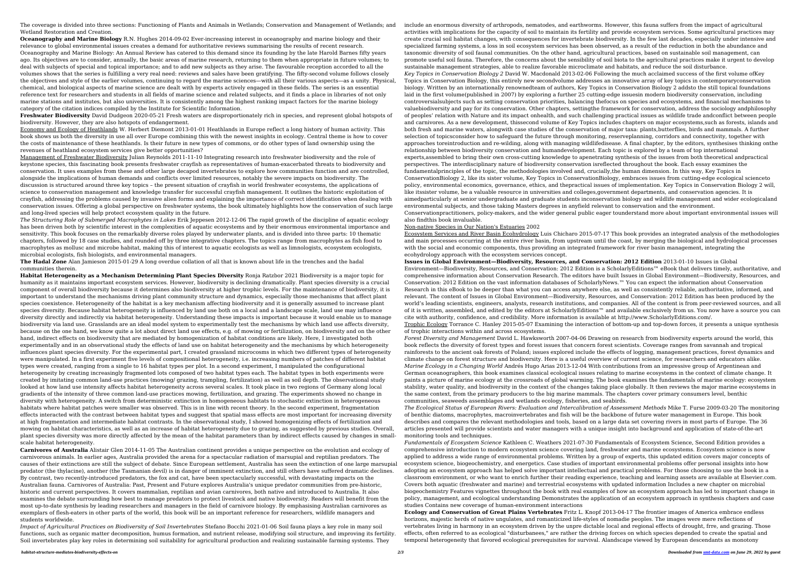The coverage is divided into three sections: Functioning of Plants and Animals in Wetlands; Conservation and Management of Wetlands; and Wetland Restoration and Creation.

**Oceanography and Marine Biology** R.N. Hughes 2014-09-02 Ever-increasing interest in oceanography and marine biology and their relevance to global environmental issues creates a demand for authoritative reviews summarising the results of recent research. Oceanography and Marine Biology: An Annual Review has catered to this demand since its founding by the late Harold Barnes fifty years ago. Its objectives are to consider, annually, the basic areas of marine research, returning to them when appropriate in future volumes; to deal with subjects of special and topical importance; and to add new subjects as they arise. The favourable reception accorded to all the volumes shows that the series is fulfilling a very real need: reviews and sales have been gratifying. The fifty-second volume follows closely the objectives and style of the earlier volumes, continuing to regard the marine sciences—with all their various aspects—as a unity. Physical, chemical, and biological aspects of marine science are dealt with by experts actively engaged in these fields. The series is an essential reference text for researchers and students in all fields of marine science and related subjects, and it finds a place in libraries of not only marine stations and institutes, but also universities. It is consistently among the highest ranking impact factors for the marine biology category of the citation indices compiled by the Institute for Scientific Information.

**Freshwater Biodiversity** David Dudgeon 2020-05-21 Fresh waters are disproportionately rich in species, and represent global hotspots of biodiversity. However, they are also hotspots of endangerment.

Economy and Ecology of Heathlands W. Herbert Diemont 2013-01-01 Heathlands in Europe reflect a long history of human activity. This book shows us both the diversity in use all over Europe combining this with the newest insights in ecology. Central theme is how to cover the costs of maintenance of these heathlands. Is their future in new types of commons, or do other types of land ownership using the revenues of heathland ecosystem services give better opportunities?

Management of Freshwater Biodiversity Julian Reynolds 2011-11-10 Integrating research into freshwater biodiversity and the role of keystone species, this fascinating book presents freshwater crayfish as representatives of human-exacerbated threats to biodiversity and conservation. It uses examples from these and other large decapod invertebrates to explore how communities function and are controlled, alongside the implications of human demands and conflicts over limited resources, notably the severe impacts on biodiversity. The discussion is structured around three key topics – the present situation of crayfish in world freshwater ecosystems, the applications of science to conservation management and knowledge transfer for successful crayfish management. It outlines the historic exploitation of crayfish, addressing the problems caused by invasive alien forms and explaining the importance of correct identification when dealing with conservation issues. Offering a global perspective on freshwater systems, the book ultimately highlights how the conservation of such large and long-lived species will help protect ecosystem quality in the future.

*The Structuring Role of Submerged Macrophytes in Lakes* Erik Jeppesen 2012-12-06 The rapid growth of the discipline of aquatic ecology has been driven both by scientific interest in the complexities of aquatic ecosystems and by their enormous environmental importance and sensitivity. This book focuses on the remarkably diverse roles played by underwater plants, and is divided into three parts: 10 thematic chapters, followed by 18 case studies, and rounded off by three integrative chapters. The topics range from macrophytes as fish food to macrophytes as mollusc and microbe habitat, making this of interest to aquatic ecologists as well as limnologists, ecosystem ecologists, microbial ecologists, fish biologists, and environmental managers.

**The Hadal Zone** Alan Jamieson 2015-01-29 A long overdue collation of all that is known about life in the trenches and the hadal communities therein.

**Habitat Heterogeneity as a Mechanism Determining Plant Species Diversity** Ronja Ratzbor 2021 Biodiversity is a major topic for humanity as it maintains important ecosystem services. However, biodiversity is declining dramatically. Plant species diversity is a crucial component of overall biodiversity because it determines also biodiversity at higher trophic levels. For the maintenance of biodiversity, it is important to understand the mechanisms driving plant community structure and dynamics, especially those mechanisms that affect plant species coexistence. Heterogeneity of the habitat is a key mechanism affecting biodiversity and it is generally assumed to increase plant species diversity. Because habitat heterogeneity is influenced by land use both on a local and a landscape scale, land use may influence diversity directly and indirectly via habitat heterogeneity. Understanding these impacts is important because it would enable us to manage biodiversity via land use. Grasslands are an ideal model system to experimentally test the mechanisms by which land use affects diversity, because on the one hand, we know quite a lot about direct land use effects, e.g. of mowing or fertilization, on biodiversity and on the other hand, indirect effects on biodiversity that are mediated by homogenization of habitat conditions are likely. Here, I investigated both experimentally and in an observational study the effects of land use on habitat heterogeneity and the mechanisms by which heterogeneity influences plant species diversity. For the experimental part, I created grassland microcosms in which two different types of heterogeneity were manipulated. In a first experiment five levels of compositional heterogeneity, i.e. increasing numbers of patches of different habitat types were created, ranging from a single to 16 habitat types per plot. In a second experiment, I manipulated the configurational heterogeneity by creating increasingly fragmented lots composed of two habitat types each. The habitat types in both experiments were created by imitating common land-use practices (mowing/ grazing, trampling, fertilization) as well as soil depth. The observational study looked at how land use intensity affects habitat heterogeneity across several scales. It took place in two regions of Germany along local gradients of the intensity of three common land-use practices mowing, fertilization, and grazing. The experiments showed no change in diversity with heterogeneity. A switch from deterministic extinction in homogeneous habitats to stochastic extinction in heterogeneous habitats where habitat patches were smaller was observed. This is in line with recent theory. In the second experiment, fragmentation effects interacted with the contrast between habitat types and suggest that spatial mass effects are most important for increasing diversity at high fragmentation and intermediate habitat contrasts. In the observational study, I showed homogenizing effects of fertilization and mowing on habitat characteristics, as well as an increase of habitat heterogeneity due to grazing, as suggested by previous studies. Overall, plant species diversity was more directly affected by the mean of the habitat parameters than by indirect effects caused by changes in smallscale habitat heterogeneity.

**Carnivores of Australia** Alistair Glen 2014-11-05 The Australian continent provides a unique perspective on the evolution and ecology of carnivorous animals. In earlier ages, Australia provided the arena for a spectacular radiation of marsupial and reptilian predators. The causes of their extinctions are still the subject of debate. Since European settlement, Australia has seen the extinction of one large marsupial predator (the thylacine), another (the Tasmanian devil) is in danger of imminent extinction, and still others have suffered dramatic declines. By contrast, two recently-introduced predators, the fox and cat, have been spectacularly successful, with devastating impacts on the Australian fauna. Carnivores of Australia: Past, Present and Future explores Australia's unique predator communities from pre-historic, historic and current perspectives. It covers mammalian, reptilian and avian carnivores, both native and introduced to Australia. It also examines the debate surrounding how best to manage predators to protect livestock and native biodiversity. Readers will benefit from the most up-to-date synthesis by leading researchers and managers in the field of carnivore biology. By emphasising Australian carnivores as exemplars of flesh-eaters in other parts of the world, this book will be an important reference for researchers, wildlife managers and students worldwide.

*Impact of Agricultural Practices on Biodiversity of Soil Invertebrates* Stefano Bocchi 2021-01-06 Soil fauna plays a key role in many soil functions, such as organic matter decomposition, humus formation, and nutrient release, modifying soil structure, and improving its fertility. Soil invertebrates play key roles in determining soil suitability for agricultural production and realizing sustainable farming systems. They

include an enormous diversity of arthropods, nematodes, and earthworms. However, this fauna suffers from the impact of agricultural activities with implications for the capacity of soil to maintain its fertility and provide ecosystem services. Some agricultural practices may create crucial soil habitat changes, with consequences for invertebrate biodiversity. In the few last decades, especially under intensive and specialized farming systems, a loss in soil ecosystem services has been observed, as a result of the reduction in both the abundance and taxonomic diversity of soil faunal communities. On the other hand, agricultural practices, based on sustainable soil management, can promote useful soil fauna. Therefore, the concerns about the sensibility of soil biota to the agricultural practices make it urgent to develop sustainable management strategies, able to realize favorable microclimate and habitats, and reduce the soil disturbance.

*Key Topics in Conservation Biology 2* David W. Macdonald 2013-02-06 Following the much acclaimed success of the first volume ofKey Topics in Conservation Biology, this entirely new secondvolume addresses an innovative array of key topics in contemporaryconservation biology. Written by an internationally renownedteam of authors, Key Topics in Conservation Biology 2 addsto the still topical foundations laid in the first volume(published in 2007) by exploring a further 25 cutting-edge issuesin modern biodiversity conservation, including controversialsubjects such as setting conservation priorities, balancing thefocus on species and ecosystems, and financial mechanisms to valuebiodiversity and pay for its conservation. Other chapters, settingthe framework for conservation, address the sociology andphilosophy of peoples' relation with Nature and its impact onhealth, and such challenging practical issues as wildlife trade andconflict between people and carnivores. As a new development, thissecond volume of Key Topics includes chapters on major ecosystems,such as forests, islands and both fresh and marine waters, alongwith case studies of the conservation of major taxa: plants,butterflies, birds and mammals. A further selection of topicsconsider how to safeguard the future through monitoring, reserveplanning, corridors and connectivity, together with approaches toreintroduction and re-wilding, along with managing wildlifedisease. A final chapter, by the editors, synthesises thinking onthe relationship between biodiversity conservation and humandevelopment. Each topic is explored by a team of top international experts,assembled to bring their own cross-cutting knowledge to apenetrating synthesis of the issues from both theoretical andpractical perspectives. The interdisciplinary nature of biodiversity conservation isreflected throughout the book. Each essay examines the fundamentalprinciples of the topic, the methodologies involved and, crucially,the human dimension. In this way, Key Topics in ConservationBiology 2, like its sister volume, Key Topics in ConservationBiology, embraces issues from cutting-edge ecological scienceto policy, environmental economics, governance, ethics, and thepractical issues of implementation. Key Topics in Conservation Biology 2 will, like itssister volume, be a valuable resource in universities and colleges,government departments, and conservation agencies. It is aimedparticularly at senior undergraduate and graduate students inconservation biology and wildlife management and wider ecologicaland environmental subjects, and those taking Masters degrees in anyfield relevant to conservation and the environment. Conservationpractitioners, policy-makers, and the wider general public eager tounderstand more about important environmental issues will

also findthis book invaluable. Non-native Species in Our Nation's Estuaries 2002

Ecosystem Services and River Basin Ecohydrology Luis Chicharo 2015-07-17 This book provides an integrated analysis of the methodologies and main processes occurring at the entire river basin, from upstream until the coast, by merging the biological and hydrological processes with the social and economic components, thus providing an integrated framework for river basin management, integrating the ecohydrology approach with the ecosystem services concept.

**Issues in Global Environment—Biodiversity, Resources, and Conservation: 2012 Edition** 2013-01-10 Issues in Global Environment—Biodiversity, Resources, and Conservation: 2012 Edition is a ScholarlyEditions™ eBook that delivers timely, authoritative, and comprehensive information about Conservation Research. The editors have built Issues in Global Environment—Biodiversity, Resources, and Conservation: 2012 Edition on the vast information databases of ScholarlyNews.™ You can expect the information about Conservation Research in this eBook to be deeper than what you can access anywhere else, as well as consistently reliable, authoritative, informed, and relevant. The content of Issues in Global Environment—Biodiversity, Resources, and Conservation: 2012 Edition has been produced by the world's leading scientists, engineers, analysts, research institutions, and companies. All of the content is from peer-reviewed sources, and all of it is written, assembled, and edited by the editors at ScholarlyEditions™ and available exclusively from us. You now have a source you can cite with authority, confidence, and credibility. More information is available at http://www.ScholarlyEditions.com/.

Trophic Ecology Torrance C. Hanley 2015-05-07 Examining the interaction of bottom-up and top-down forces, it presents a unique synthesis of trophic interactions within and across ecosystems.

*Forest Diversity and Management* David L. Hawksworth 2007-04-06 Drawing on research from biodiversity experts around the world, this book reflects the diversity of forest types and forest issues that concern forest scientists. Coverage ranges from savannah and tropical rainforests to the ancient oak forests of Poland; issues explored include the effects of logging, management practices, forest dynamics and climate change on forest structure and biodiversity. Here is a useful overview of current science, for researchers and educators alike. *Marine Ecology in a Changing World* Andrés Hugo Arias 2013-12-04 With contributions from an impressive group of Argentinean and German oceanographers, this book examines classical ecological issues relating to marine ecosystems in the context of climate change. It paints a picture of marine ecology at the crossroads of global warming. The book examines the fundamentals of marine ecology: ecosystem stability, water quality, and biodiversity in the context of the changes taking place globally. It then reviews the major marine ecosystems in the same context, from the primary producers to the big marine mammals. The chapters cover primary consumers level, benthic communities, seaweeds assemblages and wetlands ecology, fisheries, and seabirds.

*The Ecological Status of European Rivers: Evaluation and Intercalibration of Assessment Methods* Mike T. Furse 2009-03-20 The monitoring of benthic diatoms, macrophytes, macroinvertebrates and fish will be the backbone of future water management in Europe. This book describes and compares the relevant methodologies and tools, based on a large data set covering rivers in most parts of Europe. The 36 articles presented will provide scientists and water managers with a unique insight into background and application of state-of-the-art monitoring tools and techniques.

*Fundamentals of Ecosystem Science* Kathleen C. Weathers 2021-07-30 Fundamentals of Ecosystem Science, Second Edition provides a comprehensive introduction to modern ecosystem science covering land, freshwater and marine ecosystems. Ecosystem science is now applied to address a wide range of environmental problems. Written by a group of experts, this updated edition covers major concepts of ecosystem science, biogeochemistry, and energetics. Case studies of important environmental problems offer personal insights into how adopting an ecosystem approach has helped solve important intellectual and practical problems. For those choosing to use the book in a classroom environment, or who want to enrich further their reading experience, teaching and learning assets are available at Elsevier.com. Covers both aquatic (freshwater and marine) and terrestrial ecosystems with updated information Includes a new chapter on microbial biogeochemistry Features vignettes throughout the book with real examples of how an ecosystem approach has led to important change in policy, management, and ecological understanding Demonstrates the application of an ecosystem approach in synthesis chapters and case studies Contains new coverage of human-environment interactions

**Ecology and Conservation of Great Plains Vertebrates** Fritz L. Knopf 2013-04-17 The frontier images of America embrace endless horizons, majestic herds of native ungulates, and romanticized life-styles of nomadie peoples. The images were mere reflections of vertebrates living in harmony in an ecosystem driven by the unpre dictable local and regional effects of drought, frre, and grazing. Those effects, often referred to as ecological "disturbanees," are rather the driving forces on which species depended to create the spatial and temporal heterogeneity that favored ecological prerequisites for survival. Alandscape viewed by European descendants as monotony